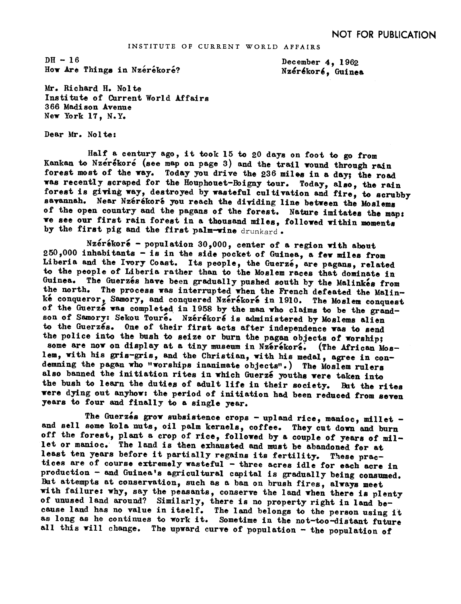$DH - 16$ How Are Things in Nzerekore?

December 4, 1962 Nzérékoré, Guinea

Mr. Richard H. Nolte Institute of Current World Affairs 366 Melison Avenue New York 17. N.Y.

Dear Mr. Nolte:

Half a century ago, it took 15 to 20 days on foot to go from Kankan to Nzérékoré (see map on page 3) and the trail wound through rain forest most of the way. Today you drive the 236 miles in a day; the road was recently scraped for the Houphouet-Boigny tour. Today, also, the rain forest is giving way, destroyed by wasteful cultivation and fire, to scrubby savannah. Near Nzérékoré you reach the dividing line between the Moslems of the open country and the pagans of the forest. Nature imitates the map: we see our first rain forest in a thousand miles, followed within moments by the first pig and the first palm-wine drunkard.

Nzérékoré - population 30,000, center of a region with about 250,000 inhabitants - is in the side pocket of Guinea, a few miles from Liberia and the Ivory Coast. Its people, the Guerze, are pagans, related to the people of Liberia rather than to the Moslem races that dominate in Guinea. The Guerzés have been gradually pushed south by the Malinkes from the north. The process was interrupted when the French defeated the Malin-<br>ke conqueror, Samory, and conquered Nzerekore in 1910. The Moslem conquest of the Guerzé was completed in 1958 by the man who claims to be the grandson of Samory: Sekou Touré. Nzérékoré is administered by Moslems alien to the Guerzés. One of their first acts after independence was to send the police into the bush to seize or burn the pagan objects of worship; some are now on display at a tiny museum in Nzerekore. (The African Moslem, with his gris-gris, and the Christian, with his medal, agree in con-<br>demning the pagan who "worships inanimate objects".) The Moslem rulers also banned the initiation rites in which Guerzé youths were taken into the bush to learn the duties of adult life in their society. But the rites were dying out anyhows the period of initiation had been reduced from seven years to four and finally to a single year.

The Guerzés grow subsistence crops - upland rice, manioc, millet and sell some kola nuts, oil palm kernels, coffee. They cut down and burn off the forest, plant a crop of rice, followed by a couple of years of mil-<br>let or manioc. The land is then exhausted and must be abandoned for at least ten years before it partially regains its fertility. These practices are of course extremely wasteful - three acres idle for each acre in production - and Guinea's agricultural capital is gradually being consumed. But attempts at conservation, such as a ban on brush fires, always meet with failure: why, say the peasants, conserve the land when there is plenty of unused land around? Similarly, there is no property right in land because land has no value in itself. The land belongs to the person using it as long as he continues to work it. Sometime in the not-too-distant future all this will change. The upward curve of population - the population of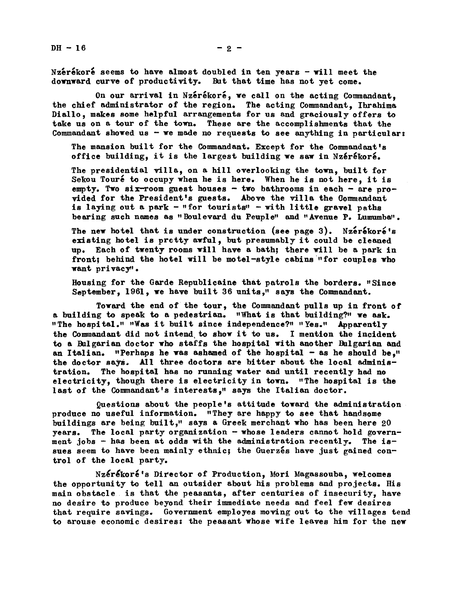Nzérékoré seems to have almost doubled in ten years - will meet the downward curve of productivity. But that time has not yet come.

On our arrival in Nzérékoré, we call on the acting Commandant, the chief administrator of the region. The acting Commandant, Ihrahima Diallo, makes some helpful arrangements for us and graciously offers to take us on a tour of the town. These are the accomplishments that the Commandant showed us  $-$  we made no requests to see anything in particular:

The mansion built for the Commandant. Except for the Commandant's office building, it is the largest building we saw in Nzérékoré.

The presidential villa, on a hill overlooking the town, built for Sekou Touré to occupy when he is here. When he is not here, it is empty. Two six-room guest houses - two bathrooms in each - are provided for the President's guests. Above the villa the Commandant is laying out a park - "for tourists" - with little gravel paths bearing such names as "Boulevard du Peuple" and "Avenue P. Lumumba".

The new hotel that is under construction (see page 3). Nzerekore's existing hotel is pretty awful, but presumably it could be cleaned up. Each of twenty rooms will have a bath; there will be a park in front; behind the hotel will be motel-style cabins "for couples who want privacy'.

Housing for the Garde Republicaine that patrols the borders. "Since September, 1961, we have built 36 units," says the Commandant.

Toward the end of the tour, the Commandant pulls up in front of a building to speak to a pedestrian. "What is that building?" we ask. "The hospital." "Was it built since independence?" "Yes." Apparently the Commandant did not intend, to show it to us. I mention the incident to a Bulgarian doctor who staffs the hospital with another Bulgarian and an Italian. "Perhaps he was ashamed of the hospital  $-$  as he should be." the doctor says. All three doctors are bitter about the local administration. The hospital has no running water and until recently had no electricity, though there is electricity in town. "The hospital is the last of the Commandant's interests," says the Italian doctor.

uestions about the people\*s attitude toward the administration. produce no useful information. "They are happy to see that handsome buildings are being built," says a Greek merchant who has been here 20 years. The local party organization- whose leaders cannot hold government jobs - has been at odds with the administration recently. The issues seem to have been mainly ethnic; the Guerzes have just gained control of the local party.

Nzérékoré's Director of Production, Mori Magassouba, welcomes the opportunity to tell an outsider about his problems and projects. His main obstacle is that the peasants, after centuries of insecurity, have no desire to produce beyond their immediate needs and feel few desires that require savings. Government employes moving out to the villages tend to arouse economic desires: the peasant whose wife leaves him for the new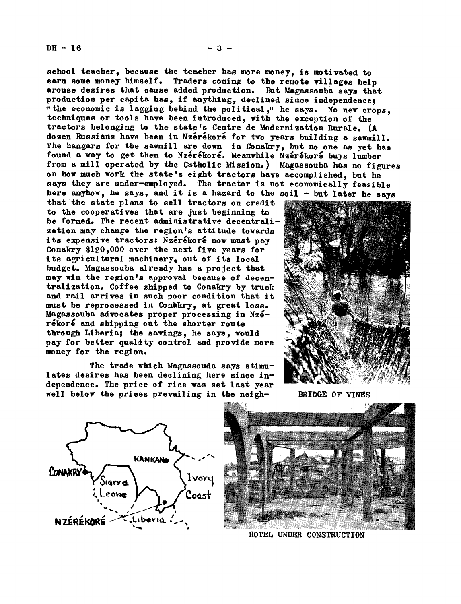school teacher, because the teacher has more money, is motivated to earn some money himself. Traders coming to the remote villages held Traders coming to the remote villages help arouse desires that cause added production. But Magassouba says that production per capita has, if anything, declined since independence; " the economic is lagging behind the political," he says. No new crops. techniques or tools have been introduced, with the exception of the tractors belonging to the state's Centre de Modernization Rurale. (A dozen Russians have been in Nzérékoré for two years building a sawmill. The hangars for the sawmill are down in Conakry, but no one as yet has found a way to get them to Nzérékoré. Meanwhile Nzérékoré buys lumber from a mill operated by the Catholic Mission.) Magassouba has no figures on how much work the state's eight tractors have accomplished, but he says they are under-employed. The tractor is not economically feasible here anyhow, he says, and it is a hazard to the soil - but later he says

that the state plans to sell tractors on credit to the cooperatives that are just beginning to be formed. The recent administrative decentralization may change the region's attitude towards its expensive tractors: Nzérékoré now must pay Conakry \$120,000 over the next five years for its agricultural machinery, out of its local budget. Magassouba already has a project that may win the region's approval because of decentralization. Coffee shipped to Conakry by truck and rail arrives in such poor condition that it must be reprocessed in Conakry, at great loss. Magassouba advocates proper processing in Nzérékoré and shipping out the shorter route through Liberia; the savings, he says, would pay for better quality control and provide more money for the region.

The trade which Magassouda says stimulates desires has been declining here since independence. The price of rice was set last year well below the prices prevailing in the neigh-<br>BRIDGE OF VINES







HOTEL UNDER CONSTRUCTION